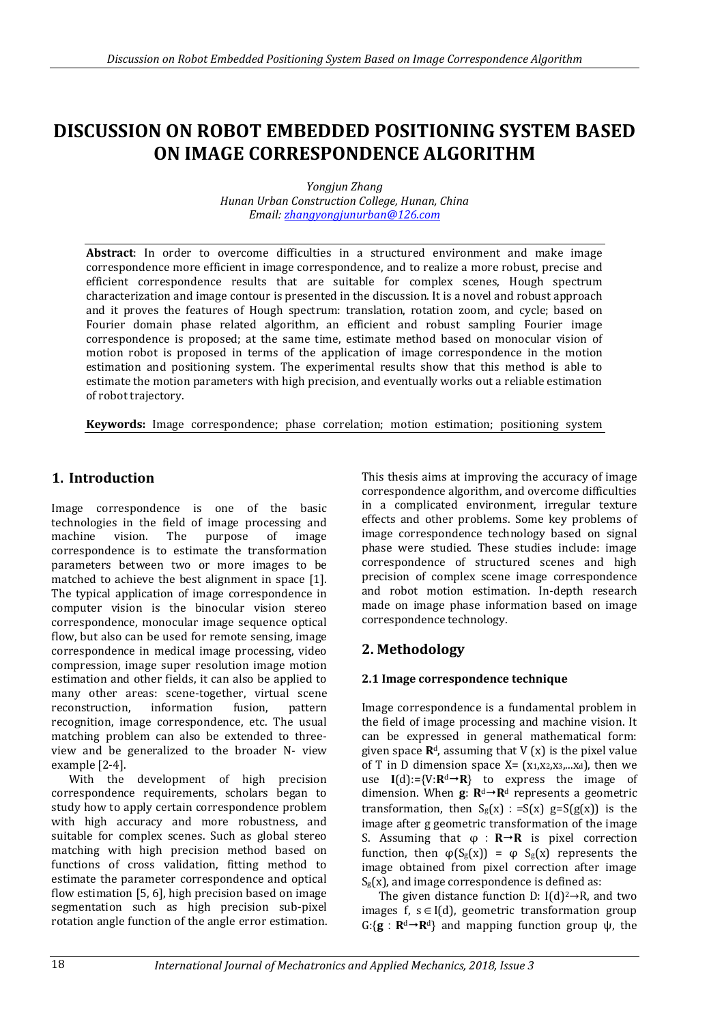# **DISCUSSION ON ROBOT EMBEDDED POSITIONING SYSTEM BASED ON IMAGE CORRESPONDENCE ALGORITHM**

*Yongjun Zhang Hunan Urban Construction College, Hunan, China Email: [zhangyongjunurban@126.com](mailto:zhangyongjunurban@126.com)* 

**Abstract**: In order to overcome difficulties in a structured environment and make image correspondence more efficient in image correspondence, and to realize a more robust, precise and efficient correspondence results that are suitable for complex scenes, Hough spectrum characterization and image contour is presented in the discussion. It is a novel and robust approach and it proves the features of Hough spectrum: translation, rotation zoom, and cycle; based on Fourier domain phase related algorithm, an efficient and robust sampling Fourier image correspondence is proposed; at the same time, estimate method based on monocular vision of motion robot is proposed in terms of the application of image correspondence in the motion estimation and positioning system. The experimental results show that this method is able to estimate the motion parameters with high precision, and eventually works out a reliable estimation of robot trajectory.

**Keywords:** Image correspondence; phase correlation; motion estimation; positioning system

# **1. Introduction**

Image correspondence is one of the basic technologies in the field of image processing and machine vision. The purpose of image correspondence is to estimate the transformation parameters between two or more images to be matched to achieve the best alignment in space [1]. The typical application of image correspondence in computer vision is the binocular vision stereo correspondence, monocular image sequence optical flow, but also can be used for remote sensing, image correspondence in medical image processing, video compression, image super resolution image motion estimation and other fields, it can also be applied to many other areas: scene-together, virtual scene reconstruction, information fusion, pattern recognition, image correspondence, etc. The usual matching problem can also be extended to threeview and be generalized to the broader N- view example [2-4].

With the development of high precision correspondence requirements, scholars began to study how to apply certain correspondence problem with high accuracy and more robustness, and suitable for complex scenes. Such as global stereo matching with high precision method based on functions of cross validation, fitting method to estimate the parameter correspondence and optical flow estimation [5, 6], high precision based on image segmentation such as high precision sub-pixel rotation angle function of the angle error estimation.

This thesis aims at improving the accuracy of image correspondence algorithm, and overcome difficulties in a complicated environment, irregular texture effects and other problems. Some key problems of image correspondence technology based on signal phase were studied. These studies include: image correspondence of structured scenes and high precision of complex scene image correspondence and robot motion estimation. In-depth research made on image phase information based on image correspondence technology.

## **2. Methodology**

## **2.1 Image correspondence technique**

Image correspondence is a fundamental problem in the field of image processing and machine vision. It can be expressed in general mathematical form: given space  $\mathbb{R}^d$ , assuming that V  $(x)$  is the pixel value of T in D dimension space  $X = (x_1, x_2, x_3, \ldots, x_d)$ , then we use  $I(d):={V:R^d \rightarrow R}$  to express the image of dimension. When  $\mathbf{g}$ :  $\mathbf{R}^d \rightarrow \mathbf{R}^d$  represents a geometric transformation, then  $S_g(x)$ : =S(x) g=S(g(x)) is the image after g geometric transformation of the image S. Assuming that  $\varphi : \mathbf{R} \rightarrow \mathbf{R}$  is pixel correction function, then  $\varphi(S_g(x)) = \varphi S_g(x)$  represents the image obtained from pixel correction after image  $S_g(x)$ , and image correspondence is defined as:

The given distance function D:  $I(d)^2 \rightarrow R$ , and two images f,  $s \in I(d)$ , geometric transformation group G:{**g**:**R**d**R**d} and mapping function group ψ, the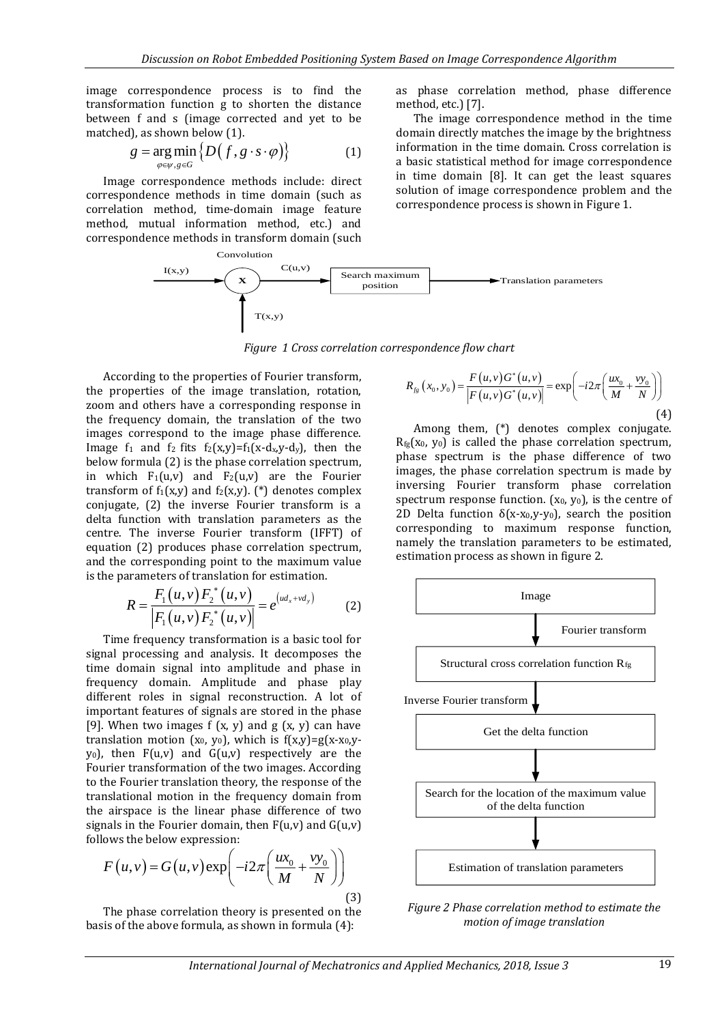image correspondence process is to find the transformation function g to shorten the distance between f and s (image corrected and yet to be matched), as shown below (1).

$$
g = \underset{\varphi \in \psi, g \in G}{\arg \min} \left\{ D \big( f, g \cdot s \cdot \varphi \big) \right\} \tag{1}
$$

Image correspondence methods include: direct correspondence methods in time domain (such as correlation method, time-domain image feature method, mutual information method, etc.) and correspondence methods in transform domain (such as phase correlation method, phase difference method, etc.) [7].

The image correspondence method in the time domain directly matches the image by the brightness information in the time domain. Cross correlation is a basic statistical method for image correspondence in time domain [8]. It can get the least squares solution of image correspondence problem and the correspondence process is shown in Figure 1.



*Figure 1 Cross correlation correspondence flow chart*

According to the properties of Fourier transform, the properties of the image translation, rotation, zoom and others have a corresponding response in the frequency domain, the translation of the two images correspond to the image phase difference. Image  $f_1$  and  $f_2$  fits  $f_2(x,y)=f_1(x-d_x,y-d_y)$ , then the below formula (2) is the phase correlation spectrum, in which  $F_1(u,v)$  and  $F_2(u,v)$  are the Fourier transform of  $f_1(x,y)$  and  $f_2(x,y)$ . (\*) denotes complex conjugate, (2) the inverse Fourier transform is a delta function with translation parameters as the centre. The inverse Fourier transform (IFFT) of equation (2) produces phase correlation spectrum, and the corresponding point to the maximum value is the parameters of translation for estimation.

$$
R = \frac{F_1(u, v) F_2^*(u, v)}{|F_1(u, v) F_2^*(u, v)|} = e^{(ud_x + vd_y)}
$$
(2)

Time frequency transformation is a basic tool for signal processing and analysis. It decomposes the time domain signal into amplitude and phase in frequency domain. Amplitude and phase play different roles in signal reconstruction. A lot of important features of signals are stored in the phase [9]. When two images  $f(x, y)$  and  $g(x, y)$  can have translation motion (x<sub>0</sub>, y<sub>0</sub>), which is  $f(x,y)=g(x-x_0,y$  $y_0$ ), then  $F(u,v)$  and  $G(u,v)$  respectively are the Fourier transformation of the two images. According to the Fourier translation theory, the response of the translational motion in the frequency domain from the airspace is the linear phase difference of two signals in the Fourier domain, then  $F(u,v)$  and  $G(u,v)$ follows the below expression:

$$
F(u, v) = G(u, v) \exp\left(-i2\pi \left(\frac{ux_0}{M} + \frac{vy_0}{N}\right)\right)
$$
\n(3)

The phase correlation theory is presented on the basis of the above formula, as shown in formula (4):

$$
R_{fg}(x_0, y_0) = \frac{F(u, v)G^*(u, v)}{|F(u, v)G^*(u, v)|} = \exp\left(-i2\pi\left(\frac{ux_0}{M} + \frac{vy_0}{N}\right)\right)
$$
\n(4)

Among them, (\*) denotes complex conjugate.  $R_{fg}(x_0, y_0)$  is called the phase correlation spectrum, phase spectrum is the phase difference of two images, the phase correlation spectrum is made by inversing Fourier transform phase correlation spectrum response function.  $(x_0, y_0)$ , is the centre of 2D Delta function  $\delta(x-x_0,y-y_0)$ , search the position corresponding to maximum response function, namely the translation parameters to be estimated, estimation process as shown in figure 2.



*Figure 2 Phase correlation method to estimate the motion of image translation*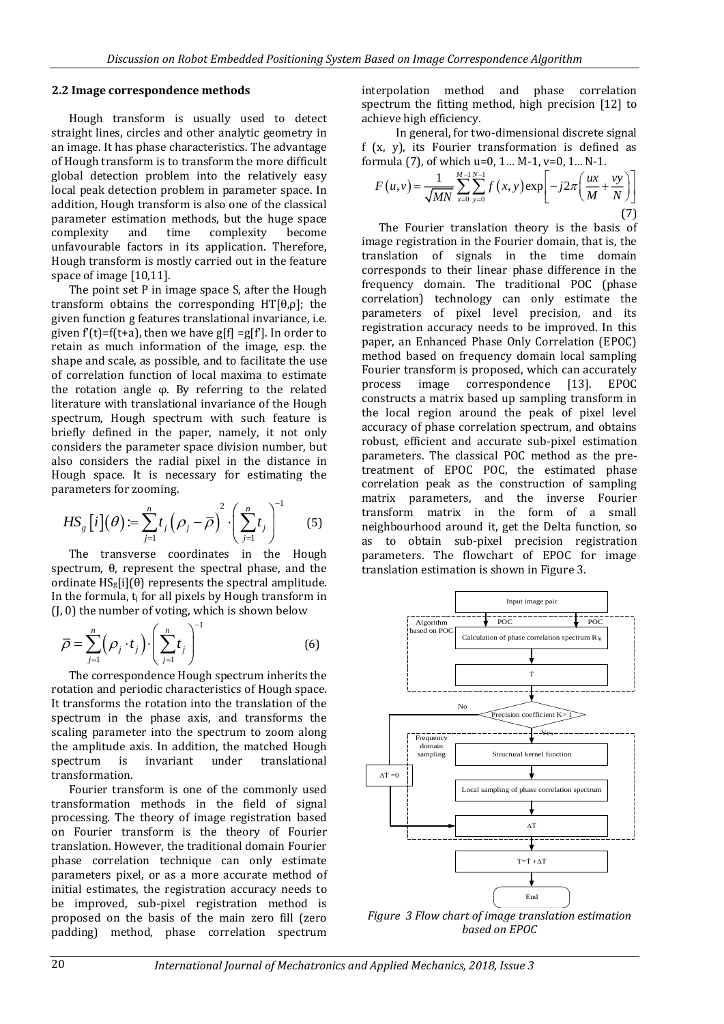#### **2.2 Image correspondence methods**

Hough transform is usually used to detect straight lines, circles and other analytic geometry in an image. It has phase characteristics. The advantage of Hough transform is to transform the more difficult global detection problem into the relatively easy local peak detection problem in parameter space. In addition, Hough transform is also one of the classical parameter estimation methods, but the huge space complexity and time complexity become unfavourable factors in its application. Therefore, Hough transform is mostly carried out in the feature space of image [10,11].

The point set P in image space S, after the Hough transform obtains the corresponding  $HT[\theta,\rho]$ ; the given function g features translational invariance, i.e. given  $f'(t)=f(t+a)$ , then we have  $g[f]=g[f']$ . In order to retain as much information of the image, esp. the shape and scale, as possible, and to facilitate the use of correlation function of local maxima to estimate the rotation angle φ. By referring to the related literature with translational invariance of the Hough spectrum, Hough spectrum with such feature is briefly defined in the paper, namely, it not only considers the parameter space division number, but also considers the radial pixel in the distance in Hough space. It is necessary for estimating the parameters for zooming.

$$
HS_{g}[i](\theta) := \sum_{j=1}^{n} t_{j}(\rho_{j} - \overline{\rho})^{2} \cdot \left(\sum_{j=1}^{n} t_{j}\right)^{-1}
$$
 (5)

The transverse coordinates in the Hough spectrum, θ, represent the spectral phase, and the ordinate  $HS<sub>g</sub>[i](\theta)$  represents the spectral amplitude. In the formula,  $t_i$  for all pixels by Hough transform in (J, 0) the number of voting, which is shown below

$$
\overline{\rho} = \sum_{j=1}^{n} \left(\rho_j \cdot t_j\right) \cdot \left(\sum_{j=1}^{n} t_j\right)^{-1} \tag{6}
$$

The correspondence Hough spectrum inherits the rotation and periodic characteristics of Hough space. It transforms the rotation into the translation of the spectrum in the phase axis, and transforms the scaling parameter into the spectrum to zoom along the amplitude axis. In addition, the matched Hough spectrum is invariant under translational transformation.

Fourier transform is one of the commonly used transformation methods in the field of signal processing. The theory of image registration based on Fourier transform is the theory of Fourier translation. However, the traditional domain Fourier phase correlation technique can only estimate parameters pixel, or as a more accurate method of initial estimates, the registration accuracy needs to be improved, sub-pixel registration method is proposed on the basis of the main zero fill (zero padding) method, phase correlation spectrum

interpolation method and phase correlation spectrum the fitting method, high precision [12] to achieve high efficiency.

In general, for two-dimensional discrete signal f (x, y), its Fourier transformation is defined as formula (7), of which u=0, 1… M-1, v=0, 1... N-1.

$$
F(u, v) = \frac{1}{\sqrt{MN}} \sum_{x=0}^{M-1} \sum_{y=0}^{N-1} f(x, y) \exp\left[-j2\pi \left(\frac{ux}{M} + \frac{vy}{N}\right)\right]
$$
(7)

The Fourier translation theory is the basis of image registration in the Fourier domain, that is, the translation of signals in the time domain corresponds to their linear phase difference in the frequency domain. The traditional POC (phase correlation) technology can only estimate the parameters of pixel level precision, and its registration accuracy needs to be improved. In this paper, an Enhanced Phase Only Correlation (EPOC) method based on frequency domain local sampling Fourier transform is proposed, which can accurately process image correspondence [13]. EPOC constructs a matrix based up sampling transform in the local region around the peak of pixel level accuracy of phase correlation spectrum, and obtains robust, efficient and accurate sub-pixel estimation parameters. The classical POC method as the pretreatment of EPOC POC, the estimated phase correlation peak as the construction of sampling matrix parameters, and the inverse Fourier transform matrix in the form of a small neighbourhood around it, get the Delta function, so as to obtain sub-pixel precision registration parameters. The flowchart of EPOC for image translation estimation is shown in Figure 3.



*based on EPOC*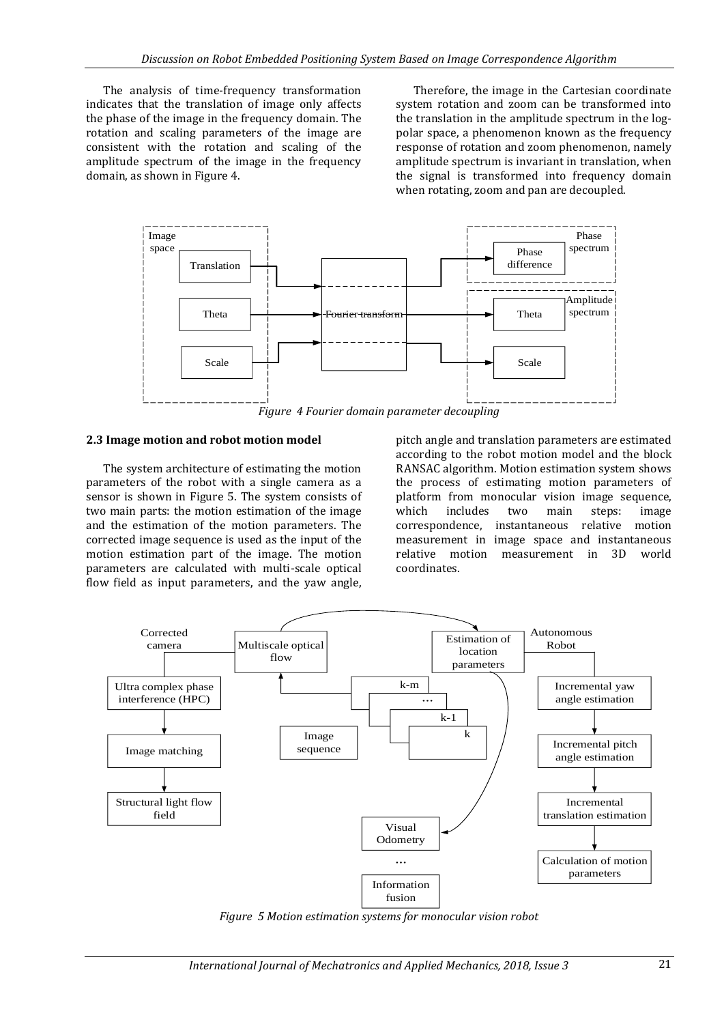The analysis of time-frequency transformation indicates that the translation of image only affects the phase of the image in the frequency domain. The rotation and scaling parameters of the image are consistent with the rotation and scaling of the amplitude spectrum of the image in the frequency domain, as shown in Figure 4.

Therefore, the image in the Cartesian coordinate system rotation and zoom can be transformed into the translation in the amplitude spectrum in the logpolar space, a phenomenon known as the frequency response of rotation and zoom phenomenon, namely amplitude spectrum is invariant in translation, when the signal is transformed into frequency domain when rotating, zoom and pan are decoupled.



*Figure 4 Fourier domain parameter decoupling*

#### **2.3 Image motion and robot motion model**

The system architecture of estimating the motion parameters of the robot with a single camera as a sensor is shown in Figure 5. The system consists of two main parts: the motion estimation of the image and the estimation of the motion parameters. The corrected image sequence is used as the input of the motion estimation part of the image. The motion parameters are calculated with multi-scale optical flow field as input parameters, and the yaw angle,

pitch angle and translation parameters are estimated according to the robot motion model and the block RANSAC algorithm. Motion estimation system shows the process of estimating motion parameters of platform from monocular vision image sequence, which includes two main steps: image correspondence, instantaneous relative motion measurement in image space and instantaneous relative motion measurement in 3D world coordinates.



*Figure 5 Motion estimation systems for monocular vision robot*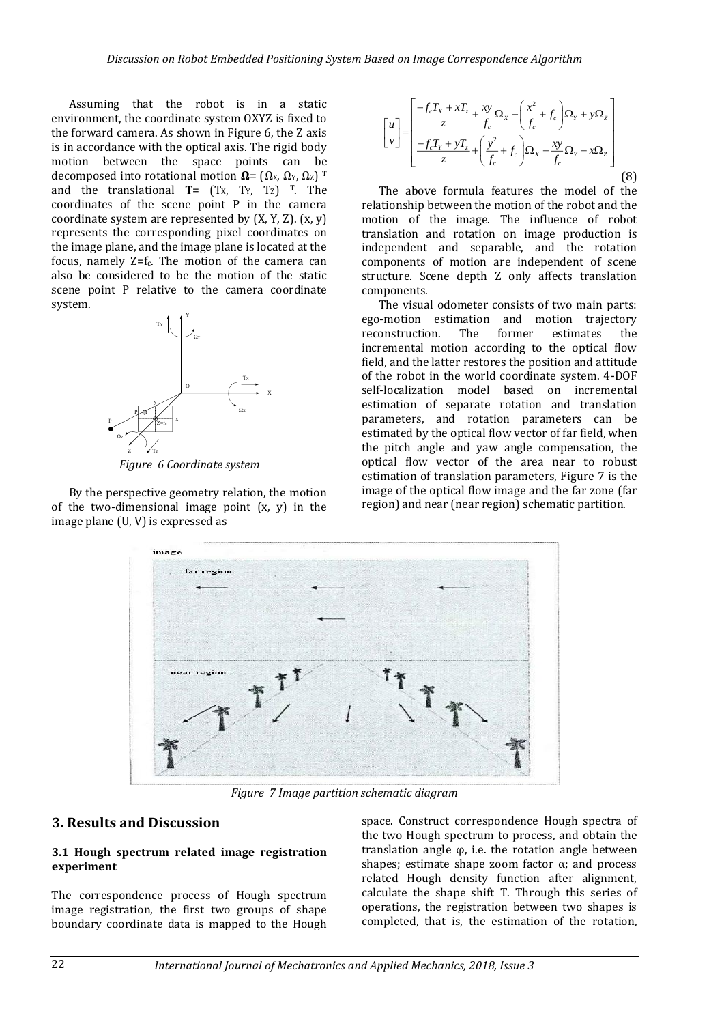Assuming that the robot is in a static environment, the coordinate system OXYZ is fixed to the forward camera. As shown in Figure 6, the Z axis is in accordance with the optical axis. The rigid body motion between the space points can be decomposed into rotational motion  $\Omega = (\Omega_X, \Omega_Y, \Omega_Z)$ <sup>T</sup> and the translational  $T = (T_X, T_Y, T_Z)$ <sup>T</sup>. The coordinates of the scene point P in the camera coordinate system are represented by (X, Y, Z). (x, y) represents the corresponding pixel coordinates on the image plane, and the image plane is located at the focus, namely Z=fc. The motion of the camera can also be considered to be the motion of the static scene point P relative to the camera coordinate system.



*Figure 6 Coordinate system*

By the perspective geometry relation, the motion of the two-dimensional image point (x, y) in the image plane (U, V) is expressed as

$$
\begin{bmatrix} u \\ v \end{bmatrix} = \begin{bmatrix} \frac{-f_c T_x + x T_z}{z} + \frac{xy}{f_c} \Omega_x - \left(\frac{x^2}{f_c} + f_c\right) \Omega_y + y \Omega_z \\ \frac{-f_c T_y + y T_z}{z} + \left(\frac{y^2}{f_c} + f_c\right) \Omega_x - \frac{xy}{f_c} \Omega_y - x \Omega_z \end{bmatrix}
$$
(8)

The above formula features the model of the relationship between the motion of the robot and the motion of the image. The influence of robot translation and rotation on image production is independent and separable, and the rotation components of motion are independent of scene structure. Scene depth Z only affects translation components.

The visual odometer consists of two main parts: ego-motion estimation and motion trajectory reconstruction. The former estimates the incremental motion according to the optical flow field, and the latter restores the position and attitude of the robot in the world coordinate system. 4-DOF self-localization model based on incremental estimation of separate rotation and translation parameters, and rotation parameters can be estimated by the optical flow vector of far field, when the pitch angle and yaw angle compensation, the optical flow vector of the area near to robust estimation of translation parameters, Figure 7 is the image of the optical flow image and the far zone (far region) and near (near region) schematic partition.



*Figure 7 Image partition schematic diagram*

## **3. Results and Discussion**

#### **3.1 Hough spectrum related image registration experiment**

The correspondence process of Hough spectrum image registration, the first two groups of shape boundary coordinate data is mapped to the Hough

space. Construct correspondence Hough spectra of the two Hough spectrum to process, and obtain the translation angle φ, i.e. the rotation angle between shapes; estimate shape zoom factor  $\alpha$ ; and process related Hough density function after alignment, calculate the shape shift T. Through this series of operations, the registration between two shapes is completed, that is, the estimation of the rotation,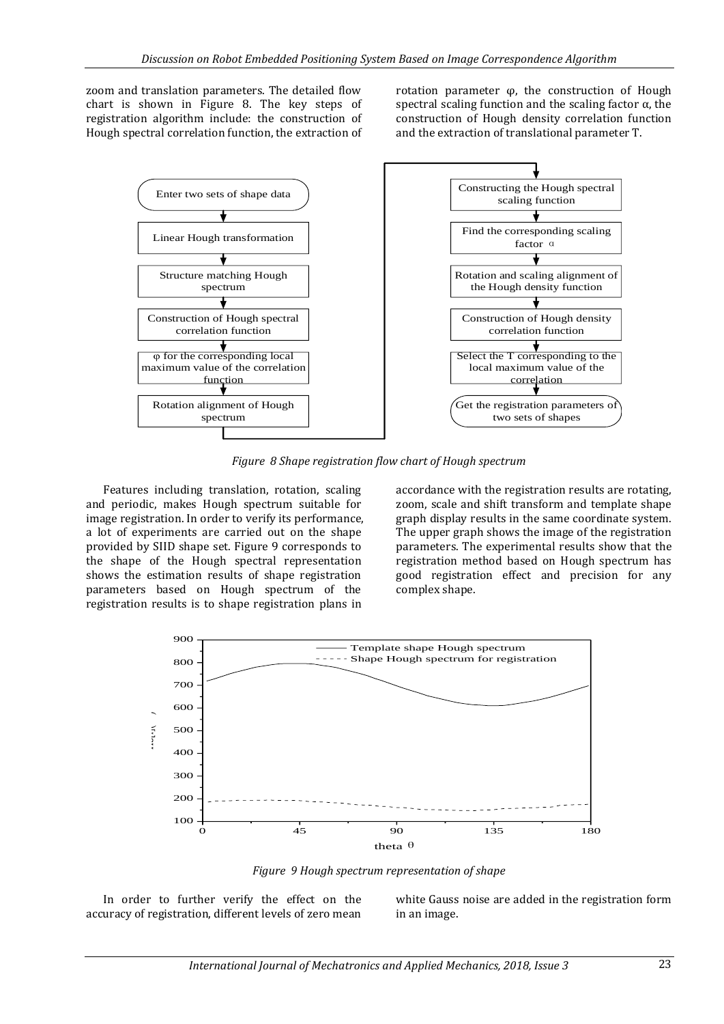zoom and translation parameters. The detailed flow chart is shown in Figure 8. The key steps of registration algorithm include: the construction of Hough spectral correlation function, the extraction of rotation parameter φ, the construction of Hough spectral scaling function and the scaling factor  $\alpha$ , the construction of Hough density correlation function and the extraction of translational parameter T.



*Figure 8 Shape registration flow chart of Hough spectrum*

Features including translation, rotation, scaling and periodic, makes Hough spectrum suitable for image registration. In order to verify its performance, a lot of experiments are carried out on the shape provided by SIID shape set. Figure 9 corresponds to the shape of the Hough spectral representation shows the estimation results of shape registration parameters based on Hough spectrum of the registration results is to shape registration plans in

accordance with the registration results are rotating, zoom, scale and shift transform and template shape graph display results in the same coordinate system. The upper graph shows the image of the registration parameters. The experimental results show that the registration method based on Hough spectrum has good registration effect and precision for any complex shape.



*Figure 9 Hough spectrum representation of shape*

In order to further verify the effect on the accuracy of registration, different levels of zero mean white Gauss noise are added in the registration form in an image.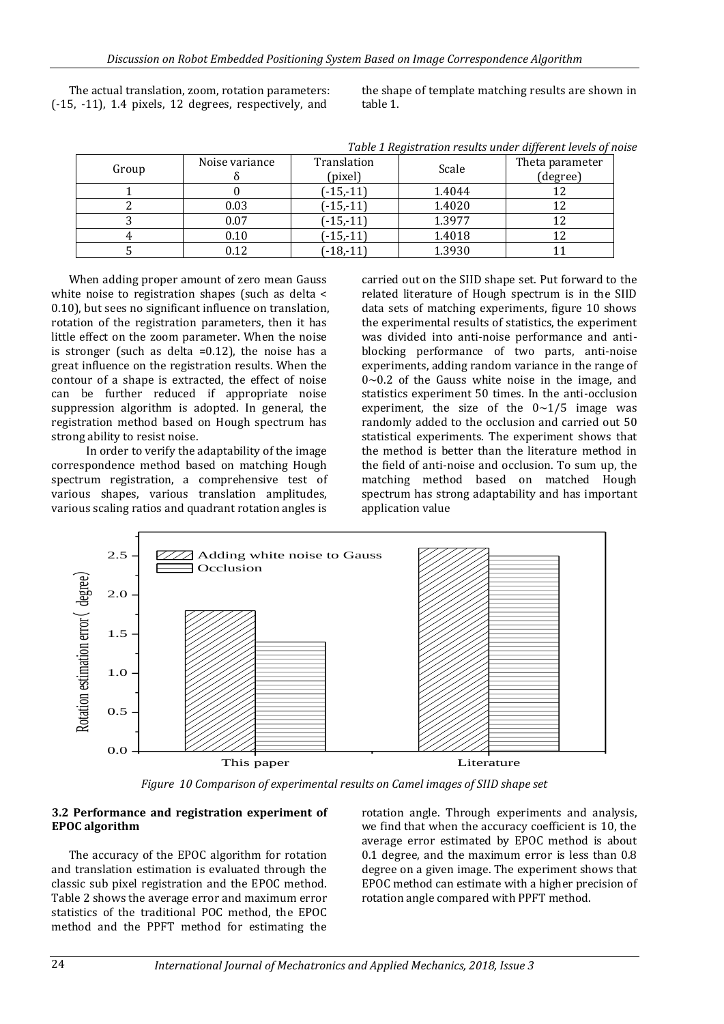The actual translation, zoom, rotation parameters: (-15, -11), 1.4 pixels, 12 degrees, respectively, and

the shape of template matching results are shown in table 1.

|       | Tuble 1 Region anon't coults and or all or one lovels of no |                        |        |                             |  |  |  |
|-------|-------------------------------------------------------------|------------------------|--------|-----------------------------|--|--|--|
| Group | Noise variance                                              | Translation<br>(pixel) | Scale  | Theta parameter<br>(degree) |  |  |  |
|       |                                                             | $(-15,-11)$            | 1.4044 |                             |  |  |  |
|       | 0.03                                                        | $(-15,-11)$            | 1.4020 |                             |  |  |  |
|       | 0.07                                                        | $(-15,-11)$            | 1.3977 |                             |  |  |  |
|       | 0.10                                                        | $(-15,-11)$            | 1.4018 |                             |  |  |  |
|       | 0.12                                                        | $(-18,-11)$            | 1.3930 |                             |  |  |  |

*Table 1 Registration results under different levels of noise*

When adding proper amount of zero mean Gauss white noise to registration shapes (such as delta < 0.10), but sees no significant influence on translation, rotation of the registration parameters, then it has little effect on the zoom parameter. When the noise is stronger (such as delta  $=0.12$ ), the noise has a great influence on the registration results. When the contour of a shape is extracted, the effect of noise can be further reduced if appropriate noise suppression algorithm is adopted. In general, the registration method based on Hough spectrum has strong ability to resist noise.

In order to verify the adaptability of the image correspondence method based on matching Hough spectrum registration, a comprehensive test of various shapes, various translation amplitudes, various scaling ratios and quadrant rotation angles is

carried out on the SIID shape set. Put forward to the related literature of Hough spectrum is in the SIID data sets of matching experiments, figure 10 shows the experimental results of statistics, the experiment was divided into anti-noise performance and antiblocking performance of two parts, anti-noise experiments, adding random variance in the range of  $0$ ~0.2 of the Gauss white noise in the image, and statistics experiment 50 times. In the anti-occlusion experiment, the size of the  $0 \sim 1/5$  image was randomly added to the occlusion and carried out 50 statistical experiments. The experiment shows that the method is better than the literature method in the field of anti-noise and occlusion. To sum up, the matching method based on matched Hough spectrum has strong adaptability and has important application value



*Figure 10 Comparison of experimental results on Camel images of SIID shape set*

### **3.2 Performance and registration experiment of EPOC algorithm**

The accuracy of the EPOC algorithm for rotation and translation estimation is evaluated through the classic sub pixel registration and the EPOC method. Table 2 shows the average error and maximum error statistics of the traditional POC method, the EPOC method and the PPFT method for estimating the

rotation angle. Through experiments and analysis, we find that when the accuracy coefficient is 10, the average error estimated by EPOC method is about 0.1 degree, and the maximum error is less than 0.8 degree on a given image. The experiment shows that EPOC method can estimate with a higher precision of rotation angle compared with PPFT method.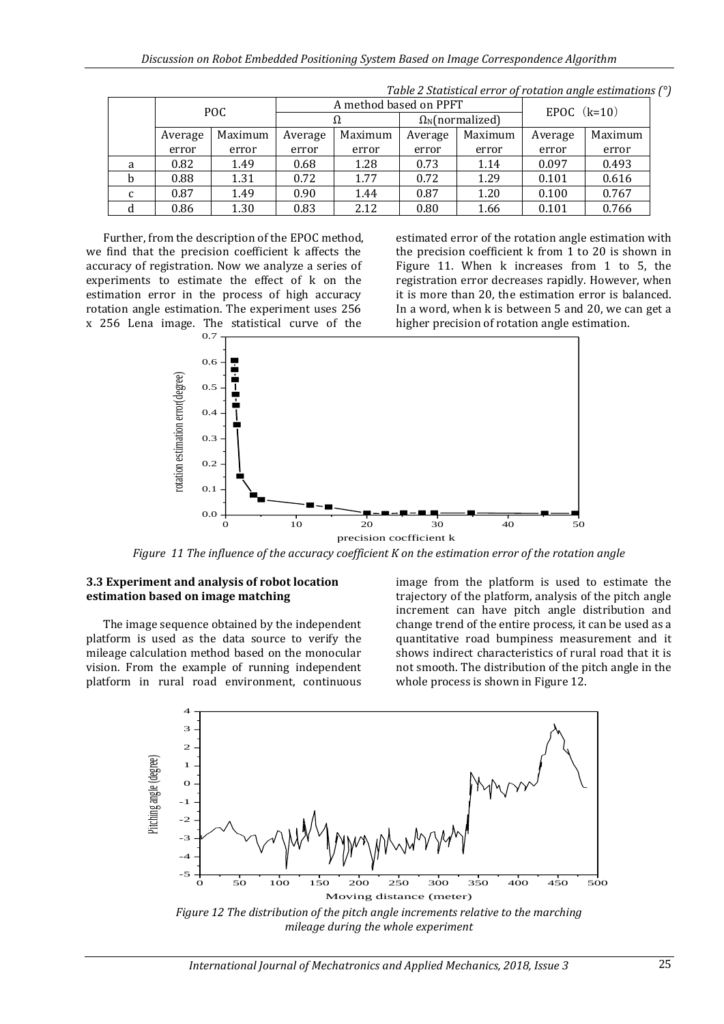|   | POC.    |         | A method based on PPFT |         |                               |         | EPOC $(k=10)$ |         |
|---|---------|---------|------------------------|---------|-------------------------------|---------|---------------|---------|
|   |         |         | Ω                      |         | $\Omega_{\rm N}$ (normalized) |         |               |         |
|   | Average | Maximum | Average                | Maximum | Average                       | Maximum | Average       | Maximum |
|   | error   | error   | error                  | error   | error                         | error   | error         | error   |
| a | 0.82    | 1.49    | 0.68                   | 1.28    | 0.73                          | 1.14    | 0.097         | 0.493   |
| b | 0.88    | 1.31    | 0.72                   | 1.77    | 0.72                          | 1.29    | 0.101         | 0.616   |
| c | 0.87    | 1.49    | 0.90                   | 1.44    | 0.87                          | 1.20    | 0.100         | 0.767   |
| d | 0.86    | 1.30    | 0.83                   | 2.12    | 0.80                          | 1.66    | 0.101         | 0.766   |

*Table 2 Statistical error of rotation angle estimations (°)*

Further, from the description of the EPOC method, we find that the precision coefficient k affects the accuracy of registration. Now we analyze a series of experiments to estimate the effect of k on the estimation error in the process of high accuracy rotation angle estimation. The experiment uses 256 x 256 Lena image. The statistical curve of the

estimated error of the rotation angle estimation with the precision coefficient k from 1 to 20 is shown in Figure 11. When k increases from 1 to 5, the registration error decreases rapidly. However, when it is more than 20, the estimation error is balanced. In a word, when k is between 5 and 20, we can get a higher precision of rotation angle estimation.



*Figure 11 The influence of the accuracy coefficient K on the estimation error of the rotation angle*

### **3.3 Experiment and analysis of robot location estimation based on image matching**

The image sequence obtained by the independent platform is used as the data source to verify the mileage calculation method based on the monocular vision. From the example of running independent platform in rural road environment, continuous

image from the platform is used to estimate the trajectory of the platform, analysis of the pitch angle increment can have pitch angle distribution and change trend of the entire process, it can be used as a quantitative road bumpiness measurement and it shows indirect characteristics of rural road that it is not smooth. The distribution of the pitch angle in the whole process is shown in Figure 12.



*mileage during the whole experiment*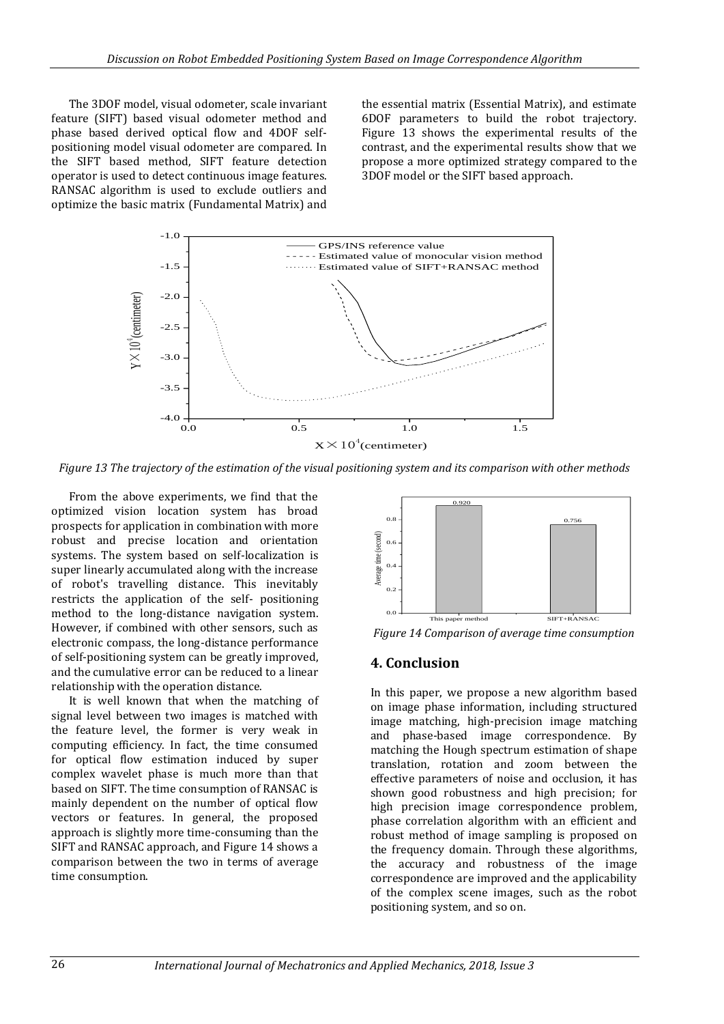The 3DOF model, visual odometer, scale invariant feature (SIFT) based visual odometer method and phase based derived optical flow and 4DOF selfpositioning model visual odometer are compared. In the SIFT based method, SIFT feature detection operator is used to detect continuous image features. RANSAC algorithm is used to exclude outliers and optimize the basic matrix (Fundamental Matrix) and the essential matrix (Essential Matrix), and estimate 6DOF parameters to build the robot trajectory. Figure 13 shows the experimental results of the contrast, and the experimental results show that we propose a more optimized strategy compared to the 3DOF model or the SIFT based approach.



*Figure 13 The trajectory of the estimation of the visual positioning system and its comparison with other methods*

From the above experiments, we find that the optimized vision location system has broad prospects for application in combination with more robust and precise location and orientation systems. The system based on self-localization is super linearly accumulated along with the increase of robot's travelling distance. This inevitably restricts the application of the self- positioning method to the long-distance navigation system. However, if combined with other sensors, such as electronic compass, the long-distance performance of self-positioning system can be greatly improved, and the cumulative error can be reduced to a linear relationship with the operation distance.

It is well known that when the matching of signal level between two images is matched with the feature level, the former is very weak in computing efficiency. In fact, the time consumed for optical flow estimation induced by super complex wavelet phase is much more than that based on SIFT. The time consumption of RANSAC is mainly dependent on the number of optical flow vectors or features. In general, the proposed approach is slightly more time-consuming than the SIFT and RANSAC approach, and Figure 14 shows a comparison between the two in terms of average time consumption.



*Figure 14 Comparison of average time consumption*

## **4. Conclusion**

In this paper, we propose a new algorithm based on image phase information, including structured image matching, high-precision image matching and phase-based image correspondence. By matching the Hough spectrum estimation of shape translation, rotation and zoom between the effective parameters of noise and occlusion, it has shown good robustness and high precision; for high precision image correspondence problem, phase correlation algorithm with an efficient and robust method of image sampling is proposed on the frequency domain. Through these algorithms, the accuracy and robustness of the image correspondence are improved and the applicability of the complex scene images, such as the robot positioning system, and so on.